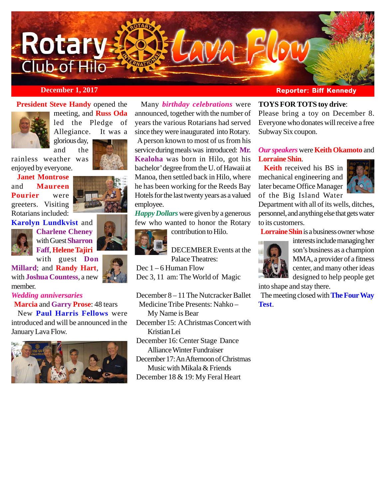

# **President Steve Handy** opened the



meeting, and **Russ Oda** led the Pledge of Allegiance. It was a

glorious day, and the

rainless weather was enjoyed by everyone.

 **Janet Montrose** and **Maureen Pourier** were greeters. Visiting Rotarians included:

**Karolyn Lundkvist** and



**Charlene Cheney** with Guest **Sharron Faff**, **Helene Tajiri**

with guest **Don Millard**; and **Randy Hart**, with **Joshua Countess**, a new member.

# *Wedding anniversaries*

 **Marcia** and **Garry Prose**: 48 tears New **Paul Harris Fellows** were

introduced and will be announced in the January Lava Flow.



 Many *birthday celebrations* were announced, together with the number of years the various Rotarians had served since they were inaugurated into Rotary.

 A person known to most of us from his service during meals was introduced: **Mr. Kealoha** was born in Hilo, got his bachelor' degree from the U. of Hawaii at Manoa, then settled back in Hilo, where he has been working for the Reeds Bay Hotels for the last twenty years as a valued employee.

*Happy Dollars* were given by a generous few who wanted to honor the Rotary

contribution to Hilo.

DECEMBER Events at the Palace Theatres:

Dec  $1 - 6$  Human Flow

Dec 3, 11 am: The World of Magic

 December 8 – 11 The Nutcracker Ballet Medicine Tribe Presents: Nahko – My Name is Bear December 15: A Christmas Concert with Kristian Lei December 16: Center Stage Dance

Alliance Winter Fundraiser December 17: An Afternoon of Christmas Music with Mikala & Friends

December 18 & 19: My Feral Heart

# **December 1, 2017 Reporter: Biff Kennedy**

# **TOYS FOR TOTS toy drive**:

Please bring a toy on December 8. Everyone who donates will receive a free Subway Six coupon.

# *Our speakers* were **Keith Okamoto** and **Lorraine Shin**.

 **Keith** received his BS in mechanical engineering and later became Office Manager of the Big Island Water



Department with all of its wells, ditches, personnel, and anything else that gets water to its customers.

**Lorraine Shin** is a business owner whose



interests include managing her son's business as a champion MMA, a provider of a fitness center, and many other ideas designed to help people get

into shape and stay there.

 The meeting closed with **The Four Way Test**.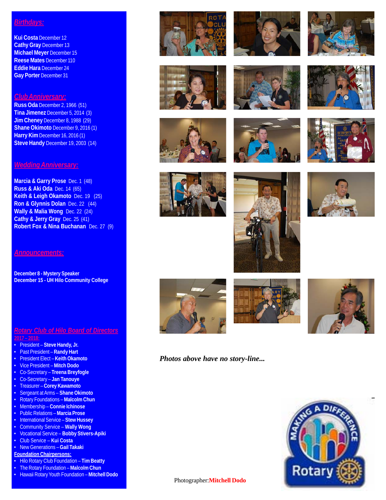# *Birthdays:*

**Kui Costa** December 12 **Cathy Gray** December 13 **Michael Meyer** December 15 **Reese Mates** December 110 **Eddie Hara** December 24 **Gay Porter** December 31

# *Club Anniversary:*

**Russ Oda** December 2, 1966 (51) **Tina Jimenez** December 5, 2014 (3) **Jim Cheney** December 8, 1988 (29) **Shane Okimoto** December 9, 2016 (1) **Harry Kim** December 16, 2016 (1) **Steve Handy** December 19, 2003 (14)

#### *Wedding Anniversary:*

**Marcia & Garry Prose** Dec. 1 (48) **Russ & Aki Oda** Dec. 14 (65) **Keith & Leigh Okamoto** Dec. 19 (25) **Ron & Glynnis Dolan** Dec. 22 (44) **Wally & Malia Wong** Dec. 22 (24) **Cathy & Jerry Gray** Dec. 25 (41) **Robert Fox & Nina Buchanan** Dec. 27 (9)

*Announcements:*

**December 8 - Mystery Speaker December 15 - UH Hilo Community College**

### *Rotary Club of Hilo Board of Directors* **2017 – 2018:**

- 
- President **Steve Handy, Jr.**
- Past President **Randy Hart** • President Elect – **Keith Okamoto**
- Vice President **Mitch Dodo**
- 
- Co-Secretary **Treena Breyfogle**
- Co-Secretary **Jan Tanouye** • Treasurer – **Corey Kawamoto**
- 
- Sergeant at Arms **Shane Okimoto** • Rotary Foundations – **Malcolm Chun**
- Membership **Connie Ichinose**
- Public Relations **Marcia Prose**
- 
- International Service **Stew Hussey**
- Community Service **Wally Wong**
- Vocational Service **Bobby Stivers-Apiki** • Club Service – **Kui Costa**
- New Generations **Gail Takaki**
- **Foundation Chairpersons:**
- Hilo Rotary Club Foundation **Tim Beatty**
- The Rotary Foundation **Malcolm Chun**
- Hawaii Rotary Youth Foundation **Mitchell Dodo**































*Photos above have no story-line...*



Photographer:**Mitchell Dodo**